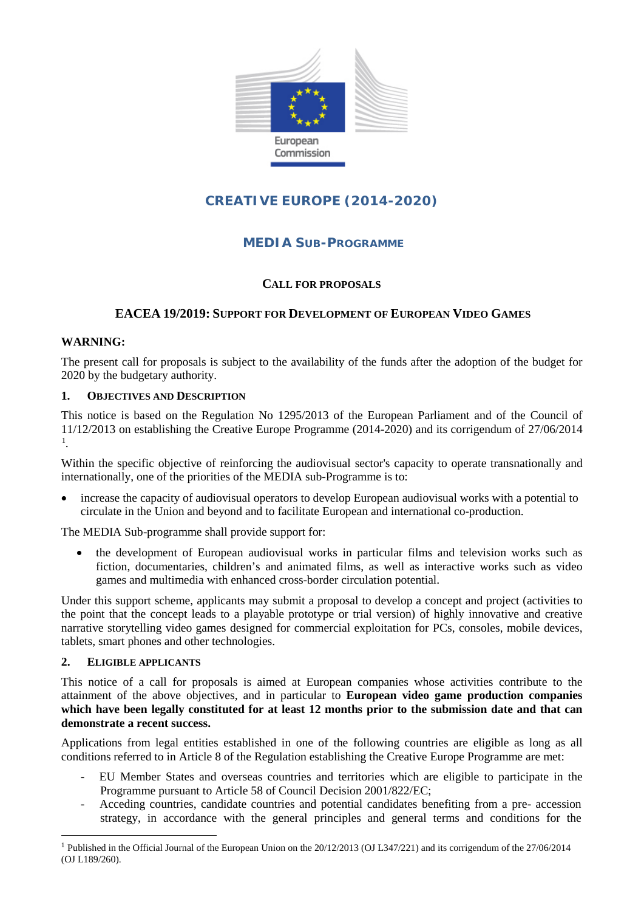

# **CREATIVE EUROPE (2014-2020)**

# **MEDIA SUB-PROGRAMME**

# **CALL FOR PROPOSALS**

# **EACEA 19/2019: SUPPORT FOR DEVELOPMENT OF EUROPEAN VIDEO GAMES**

# **WARNING:**

The present call for proposals is subject to the availability of the funds after the adoption of the budget for 2020 by the budgetary authority.

#### **1. OBJECTIVES AND DESCRIPTION**

This notice is based on the Regulation No 1295/2013 of the European Parliament and of the Council of 11/12/2013 on establishing the Creative Europe Programme (2014-2020) and its corrigendum of 27/06/2014 [1](#page-0-0) .

Within the specific objective of reinforcing the audiovisual sector's capacity to operate transnationally and internationally, one of the priorities of the MEDIA sub-Programme is to:

• increase the capacity of audiovisual operators to develop European audiovisual works with a potential to circulate in the Union and beyond and to facilitate European and international co-production.

The MEDIA Sub-programme shall provide support for:

• the development of European audiovisual works in particular films and television works such as fiction, documentaries, children's and animated films, as well as interactive works such as video games and multimedia with enhanced cross-border circulation potential.

Under this support scheme, applicants may submit a proposal to develop a concept and project (activities to the point that the concept leads to a playable prototype or trial version) of highly innovative and creative narrative storytelling video games designed for commercial exploitation for PCs, consoles, mobile devices, tablets, smart phones and other technologies.

#### **2. ELIGIBLE APPLICANTS**

This notice of a call for proposals is aimed at European companies whose activities contribute to the attainment of the above objectives, and in particular to **European video game production companies which have been legally constituted for at least 12 months prior to the submission date and that can demonstrate a recent success.**

Applications from legal entities established in one of the following countries are eligible as long as all conditions referred to in Article 8 of the Regulation establishing the Creative Europe Programme are met:

- EU Member States and overseas countries and territories which are eligible to participate in the Programme pursuant to Article 58 of Council Decision 2001/822/EC;
- Acceding countries, candidate countries and potential candidates benefiting from a pre- accession strategy, in accordance with the general principles and general terms and conditions for the

<span id="page-0-0"></span><sup>&</sup>lt;sup>1</sup> Published in the Official Journal of the European Union on the  $20/12/2013$  (OJ L347/221) and its corrigendum of the  $27/06/2014$ (OJ L189/260).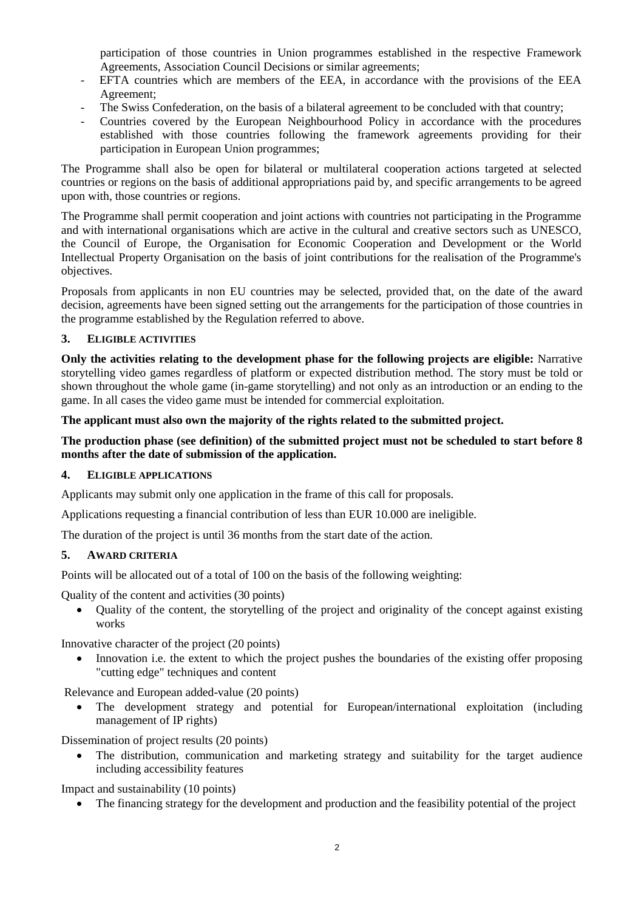participation of those countries in Union programmes established in the respective Framework Agreements, Association Council Decisions or similar agreements;

- EFTA countries which are members of the EEA, in accordance with the provisions of the EEA Agreement;
- The Swiss Confederation, on the basis of a bilateral agreement to be concluded with that country;
- Countries covered by the European Neighbourhood Policy in accordance with the procedures established with those countries following the framework agreements providing for their participation in European Union programmes;

The Programme shall also be open for bilateral or multilateral cooperation actions targeted at selected countries or regions on the basis of additional appropriations paid by, and specific arrangements to be agreed upon with, those countries or regions.

The Programme shall permit cooperation and joint actions with countries not participating in the Programme and with international organisations which are active in the cultural and creative sectors such as UNESCO, the Council of Europe, the Organisation for Economic Cooperation and Development or the World Intellectual Property Organisation on the basis of joint contributions for the realisation of the Programme's objectives.

Proposals from applicants in non EU countries may be selected, provided that, on the date of the award decision, agreements have been signed setting out the arrangements for the participation of those countries in the programme established by the Regulation referred to above.

#### **3. ELIGIBLE ACTIVITIES**

**Only the activities relating to the development phase for the following projects are eligible:** Narrative storytelling video games regardless of platform or expected distribution method. The story must be told or shown throughout the whole game (in-game storytelling) and not only as an introduction or an ending to the game. In all cases the video game must be intended for commercial exploitation.

#### **The applicant must also own the majority of the rights related to the submitted project.**

# **The production phase (see definition) of the submitted project must not be scheduled to start before 8 months after the date of submission of the application.**

#### **4. ELIGIBLE APPLICATIONS**

Applicants may submit only one application in the frame of this call for proposals.

Applications requesting a financial contribution of less than EUR 10.000 are ineligible.

The duration of the project is until 36 months from the start date of the action.

#### **5. AWARD CRITERIA**

Points will be allocated out of a total of 100 on the basis of the following weighting:

Quality of the content and activities (30 points)

• Quality of the content, the storytelling of the project and originality of the concept against existing works

Innovative character of the project (20 points)

• Innovation i.e. the extent to which the project pushes the boundaries of the existing offer proposing "cutting edge" techniques and content

Relevance and European added-value (20 points)

• The development strategy and potential for European/international exploitation (including management of IP rights)

Dissemination of project results (20 points)

• The distribution, communication and marketing strategy and suitability for the target audience including accessibility features

Impact and sustainability (10 points)

• The financing strategy for the development and production and the feasibility potential of the project